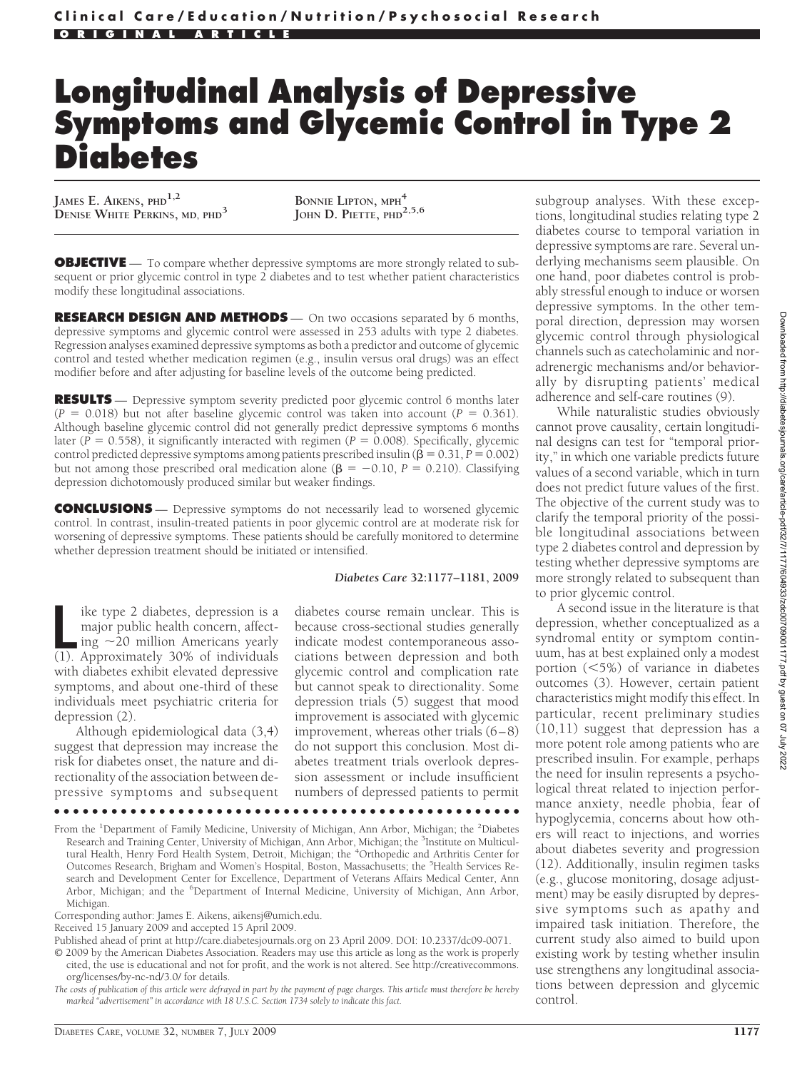# **Longitudinal Analysis of Depressive Symptoms and Glycemic Control in Type 2 Diabetes**

**JAMES E. AIKENS, PHD1,2 DENISE WHITE PERKINS, MD, PHD<sup>3</sup> BONNIE LIPTON, MPH<sup>4</sup>**

BONNIE LIPTON, MPH<sup>4</sup><br>JOHN D. PIETTE, PHD<sup>2,5,6</sup>

**OBJECTIVE** — To compare whether depressive symptoms are more strongly related to subsequent or prior glycemic control in type 2 diabetes and to test whether patient characteristics modify these longitudinal associations.

**RESEARCH DESIGN AND METHODS** — On two occasions separated by 6 months, depressive symptoms and glycemic control were assessed in 253 adults with type 2 diabetes. Regression analyses examined depressive symptoms as both a predictor and outcome of glycemic control and tested whether medication regimen (e.g., insulin versus oral drugs) was an effect modifier before and after adjusting for baseline levels of the outcome being predicted.

**RESULTS** — Depressive symptom severity predicted poor glycemic control 6 months later  $(P = 0.018)$  but not after baseline glycemic control was taken into account  $(P = 0.361)$ . Although baseline glycemic control did not generally predict depressive symptoms 6 months later ( $P = 0.558$ ), it significantly interacted with regimen ( $P = 0.008$ ). Specifically, glycemic control predicted depressive symptoms among patients prescribed insulin ( $\beta = 0.31, P = 0.002$ ) but not among those prescribed oral medication alone ( $\beta = -0.10$ ,  $P = 0.210$ ). Classifying depression dichotomously produced similar but weaker findings.

**CONCLUSIONS** — Depressive symptoms do not necessarily lead to worsened glycemic control. In contrast, insulin-treated patients in poor glycemic control are at moderate risk for worsening of depressive symptoms. These patients should be carefully monitored to determine whether depression treatment should be initiated or intensified.

#### *Diabetes Care* **32:1177–1181, 2009**

like type 2 diabetes, depression is a<br>
major public health concern, affect-<br>
ing ~20 million Americans yearly<br>
(1). Approximately 30% of individuals ike type 2 diabetes, depression is a major public health concern, affecting  $\sim$ 20 million Americans yearly with diabetes exhibit elevated depressive symptoms, and about one-third of these individuals meet psychiatric criteria for depression (2).

Although epidemiological data (3,4) suggest that depression may increase the risk for diabetes onset, the nature and directionality of the association between depressive symptoms and subsequent

diabetes course remain unclear. This is because cross-sectional studies generally indicate modest contemporaneous associations between depression and both glycemic control and complication rate but cannot speak to directionality. Some depression trials (5) suggest that mood improvement is associated with glycemic improvement, whereas other trials (6–8) do not support this conclusion. Most diabetes treatment trials overlook depression assessment or include insufficient numbers of depressed patients to permit

●●●●●●●●●●●●●●●●●●●●●●●●●●●●●●●●●●●●●●●●●●●●●●●●●

From the <sup>1</sup>Department of Family Medicine, University of Michigan, Ann Arbor, Michigan; the <sup>2</sup>Diabetes Research and Training Center, University of Michigan, Ann Arbor, Michigan; the <sup>3</sup>Institute on Multicul-<br>tural Health, Henry Ford Health System, Detroit, Michigan; the <sup>4</sup>Orthopedic and Arthritis Center for Outcomes Research, Brigham and Women's Hospital, Boston, Massachusetts; the <sup>5</sup>Health Services Research and Development Center for Excellence, Department of Veterans Affairs Medical Center, Ann Arbor, Michigan; and the <sup>6</sup>Department of Internal Medicine, University of Michigan, Ann Arbor, Michigan.

Corresponding author: James E. Aikens, aikensj@umich.edu.

© 2009 by the American Diabetes Association. Readers may use this article as long as the work is properly cited, the use is educational and not for profit, and the work is not altered. See http://creativecommons. org/licenses/by-nc-nd/3.0/ for details.

*The costs of publication of this article were defrayed in part by the payment of page charges. This article must therefore be hereby marked "advertisement" in accordance with 18 U.S.C. Section 1734 solely to indicate this fact.*

subgroup analyses. With these exceptions, longitudinal studies relating type 2 diabetes course to temporal variation in depressive symptoms are rare. Several underlying mechanisms seem plausible. On one hand, poor diabetes control is probably stressful enough to induce or worsen depressive symptoms. In the other temporal direction, depression may worsen glycemic control through physiological channels such as catecholaminic and noradrenergic mechanisms and/or behaviorally by disrupting patients' medical adherence and self-care routines (9).

While naturalistic studies obviously cannot prove causality, certain longitudinal designs can test for "temporal priority," in which one variable predicts future values of a second variable, which in turn does not predict future values of the first. The objective of the current study was to clarify the temporal priority of the possible longitudinal associations between type 2 diabetes control and depression by testing whether depressive symptoms are more strongly related to subsequent than to prior glycemic control.

A second issue in the literature is that depression, whether conceptualized as a syndromal entity or symptom continuum, has at best explained only a modest portion (5%) of variance in diabetes outcomes (3). However, certain patient characteristics might modify this effect. In particular, recent preliminary studies (10,11) suggest that depression has a more potent role among patients who are prescribed insulin. For example, perhaps the need for insulin represents a psychological threat related to injection performance anxiety, needle phobia, fear of hypoglycemia, concerns about how others will react to injections, and worries about diabetes severity and progression (12). Additionally, insulin regimen tasks (e.g., glucose monitoring, dosage adjustment) may be easily disrupted by depressive symptoms such as apathy and impaired task initiation. Therefore, the current study also aimed to build upon existing work by testing whether insulin use strengthens any longitudinal associations between depression and glycemic control.

Received 15 January 2009 and accepted 15 April 2009.

Published ahead of print at http://care.diabetesjournals.org on 23 April 2009. DOI: 10.2337/dc09-0071.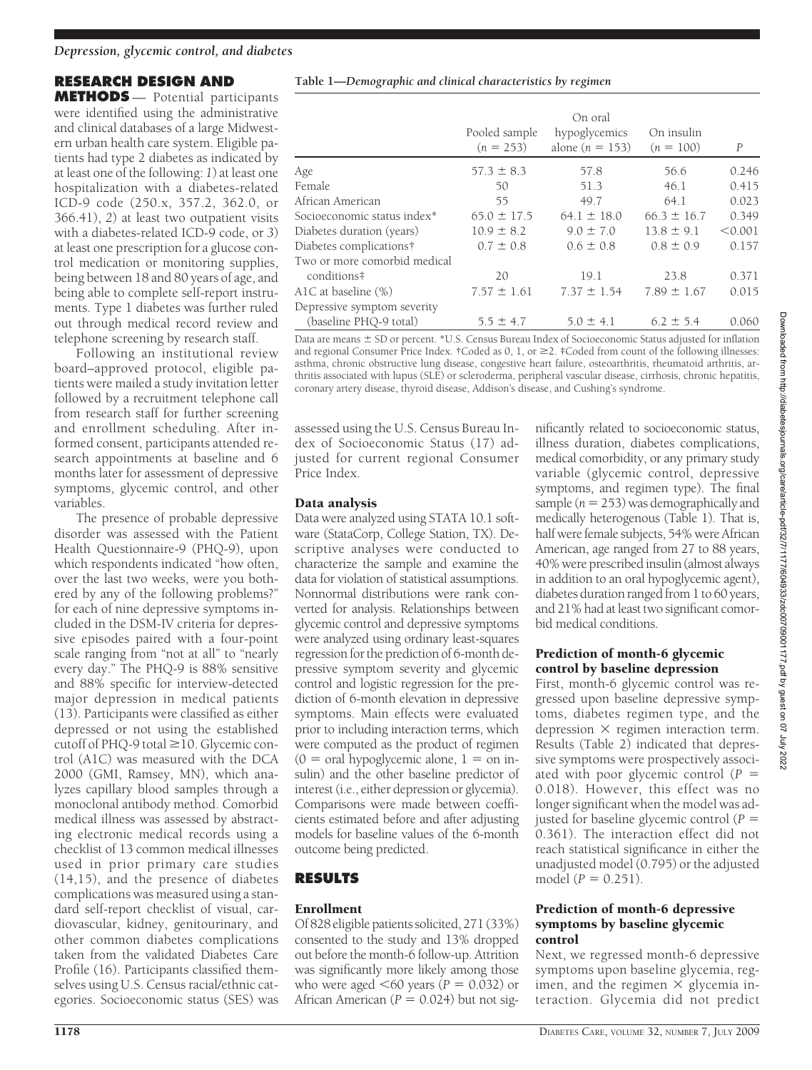## **RESEARCH DESIGN AND**

**METHODS** — Potential participants were identified using the administrative and clinical databases of a large Midwestern urban health care system. Eligible patients had type 2 diabetes as indicated by at least one of the following: *1*) at least one hospitalization with a diabetes-related ICD-9 code (250.x, 357.2, 362.0, or 366.41), *2*) at least two outpatient visits with a diabetes-related ICD-9 code, or *3*) at least one prescription for a glucose control medication or monitoring supplies, being between 18 and 80 years of age, and being able to complete self-report instruments. Type 1 diabetes was further ruled out through medical record review and telephone screening by research staff.

Following an institutional review board–approved protocol, eligible patients were mailed a study invitation letter followed by a recruitment telephone call from research staff for further screening and enrollment scheduling. After informed consent, participants attended research appointments at baseline and 6 months later for assessment of depressive symptoms, glycemic control, and other variables.

The presence of probable depressive disorder was assessed with the Patient Health Questionnaire-9 (PHQ-9), upon which respondents indicated "how often, over the last two weeks, were you bothered by any of the following problems?" for each of nine depressive symptoms included in the DSM-IV criteria for depressive episodes paired with a four-point scale ranging from "not at all" to "nearly every day." The PHQ-9 is 88% sensitive and 88% specific for interview-detected major depression in medical patients (13). Participants were classified as either depressed or not using the established cutoff of PHQ-9 total  $\geq$  10. Glycemic control (A1C) was measured with the DCA 2000 (GMI, Ramsey, MN), which analyzes capillary blood samples through a monoclonal antibody method. Comorbid medical illness was assessed by abstracting electronic medical records using a checklist of 13 common medical illnesses used in prior primary care studies (14,15), and the presence of diabetes complications was measured using a standard self-report checklist of visual, cardiovascular, kidney, genitourinary, and other common diabetes complications taken from the validated Diabetes Care Profile (16). Participants classified themselves using U.S. Census racial/ethnic categories. Socioeconomic status (SES) was

|  |  | Table 1-Demographic and clinical characteristics by regimen |  |
|--|--|-------------------------------------------------------------|--|
|  |  |                                                             |  |
|  |  |                                                             |  |

|                              | Pooled sample<br>$(n = 253)$ | On oral<br>hypoglycemics<br>alone $(n = 153)$ | On insulin<br>$(n = 100)$ | $\boldsymbol{P}$ |
|------------------------------|------------------------------|-----------------------------------------------|---------------------------|------------------|
| Age                          | $57.3 \pm 8.3$               | 57.8                                          | 56.6                      | 0.246            |
| Female                       | 50                           | 51.3                                          | 46.1                      | 0.415            |
| African American             | 55                           | 49.7                                          | 64.1                      | 0.023            |
| Socioeconomic status index*  | $65.0 \pm 17.5$              | $64.1 \pm 18.0$                               | $66.3 \pm 16.7$           | 0.349            |
| Diabetes duration (years)    | $10.9 \pm 8.2$               | $9.0 \pm 7.0$                                 | $13.8 \pm 9.1$            | < 0.001          |
| Diabetes complications†      | $0.7 \pm 0.8$                | $0.6 \pm 0.8$                                 | $0.8 \pm 0.9$             | 0.157            |
| Two or more comorbid medical |                              |                                               |                           |                  |
| conditions#                  | 20                           | 19.1                                          | 23.8                      | 0.371            |
| A1C at baseline (%)          | $7.57 \pm 1.61$              | $7.37 \pm 1.54$                               | $7.89 \pm 1.67$           | 0.015            |
| Depressive symptom severity  |                              |                                               |                           |                  |
| (baseline PHO-9 total)       | $5.5 \pm 4.7$                | $5.0 \pm 4.1$                                 | $6.2 \pm 5.4$             | 0.060            |

Data are means  $\pm$  SD or percent. \*U.S. Census Bureau Index of Socioeconomic Status adjusted for inflation and regional Consumer Price Index.  $\dagger$ Coded as 0, 1, or  $\geq$ 2.  $\ddagger$ Coded from count of the following illnesses: asthma, chronic obstructive lung disease, congestive heart failure, osteoarthritis, rheumatoid arthritis, arthritis associated with lupus (SLE) or scleroderma, peripheral vascular disease, cirrhosis, chronic hepatitis, coronary artery disease, thyroid disease, Addison's disease, and Cushing's syndrome.

assessed using the U.S. Census Bureau Index of Socioeconomic Status (17) adjusted for current regional Consumer Price Index.

#### Data analysis

Data were analyzed using STATA 10.1 software (StataCorp, College Station, TX). Descriptive analyses were conducted to characterize the sample and examine the data for violation of statistical assumptions. Nonnormal distributions were rank converted for analysis. Relationships between glycemic control and depressive symptoms were analyzed using ordinary least-squares regression for the prediction of 6-month depressive symptom severity and glycemic control and logistic regression for the prediction of 6-month elevation in depressive symptoms. Main effects were evaluated prior to including interaction terms, which were computed as the product of regimen  $(0 = \text{oral hypoglycermic alone}, 1 = \text{on in-}$ sulin) and the other baseline predictor of interest (i.e., either depression or glycemia). Comparisons were made between coefficients estimated before and after adjusting models for baseline values of the 6-month outcome being predicted.

## **RESULTS**

## Enrollment

Of 828 eligible patients solicited, 271 (33%) consented to the study and 13% dropped out before the month-6 follow-up. Attrition was significantly more likely among those who were aged  $\leq 60$  years ( $P = 0.032$ ) or African American  $(P = 0.024)$  but not sig-

nificantly related to socioeconomic status, illness duration, diabetes complications, medical comorbidity, or any primary study variable (glycemic control, depressive symptoms, and regimen type). The final sample  $(n = 253)$  was demographically and medically heterogenous (Table 1). That is, half were female subjects, 54% were African American, age ranged from 27 to 88 years, 40% were prescribed insulin (almost always in addition to an oral hypoglycemic agent), diabetes duration ranged from 1 to 60 years, and 21% had at least two significant comorbid medical conditions.

#### Prediction of month-6 glycemic control by baseline depression

First, month-6 glycemic control was regressed upon baseline depressive symptoms, diabetes regimen type, and the depression  $\times$  regimen interaction term. Results (Table 2) indicated that depressive symptoms were prospectively associated with poor glycemic control (*P* 0.018). However, this effect was no longer significant when the model was adjusted for baseline glycemic control (*P* 0.361). The interaction effect did not reach statistical significance in either the unadjusted model (0.795) or the adjusted model  $(P = 0.251)$ .

#### Prediction of month-6 depressive symptoms by baseline glycemic control

Next, we regressed month-6 depressive symptoms upon baseline glycemia, regimen, and the regimen  $\times$  glycemia interaction. Glycemia did not predict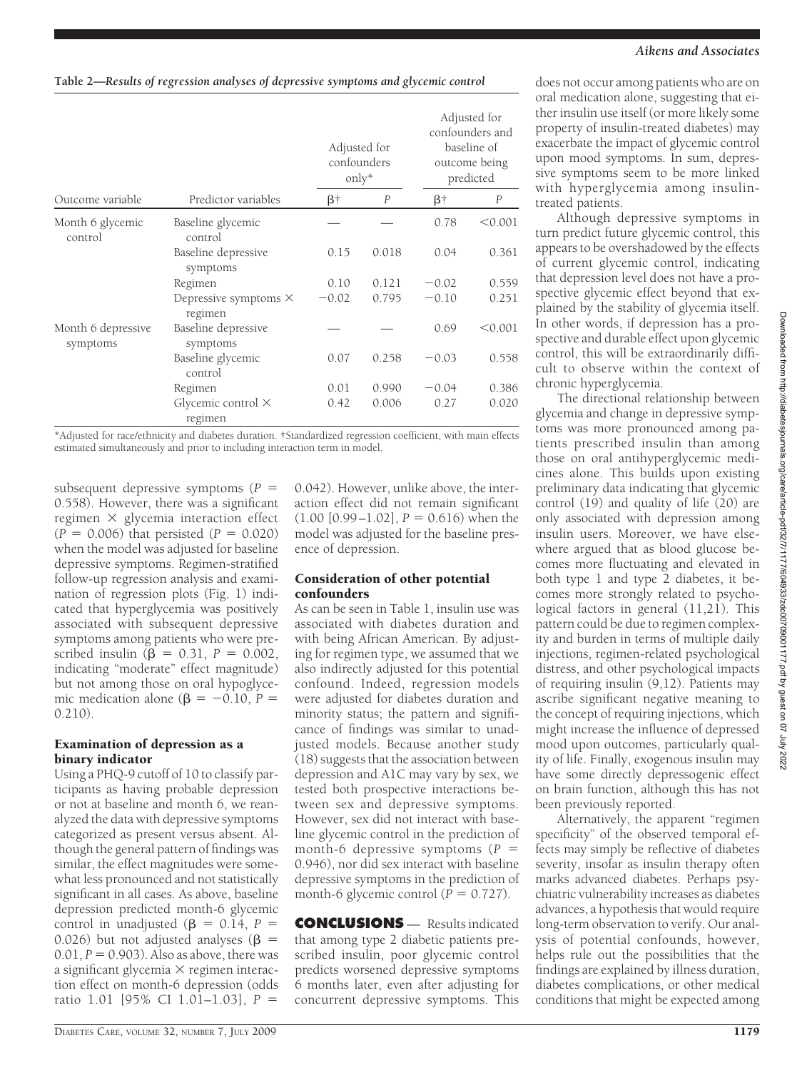|                                |                                         |           | Adjusted for<br>confounders<br>$\text{only*}$ |           | Adjusted for<br>confounders and<br>baseline of<br>outcome being<br>predicted |  |
|--------------------------------|-----------------------------------------|-----------|-----------------------------------------------|-----------|------------------------------------------------------------------------------|--|
| Outcome variable               | Predictor variables                     | $\beta$ † | P                                             | $\beta$ † | $\overline{P}$                                                               |  |
| Month 6 glycemic<br>control    | Baseline glycemic<br>control            |           |                                               | 0.78      | < 0.001                                                                      |  |
|                                | Baseline depressive<br>symptoms         | 0.15      | 0.018                                         | 0.04      | 0.361                                                                        |  |
|                                | Regimen                                 | 0.10      | 0.121                                         | $-0.02$   | 0.559                                                                        |  |
|                                | Depressive symptoms $\times$<br>regimen | $-0.02$   | 0.795                                         | $-0.10$   | 0.251                                                                        |  |
| Month 6 depressive<br>symptoms | Baseline depressive<br>symptoms         |           |                                               | 0.69      | < 0.001                                                                      |  |
|                                | Baseline glycemic<br>control            | 0.07      | 0.258                                         | $-0.03$   | 0.558                                                                        |  |
|                                | Regimen                                 | 0.01      | 0.990                                         | $-0.04$   | 0.386                                                                        |  |
|                                | Glycemic control $\times$<br>regimen    | 0.42      | 0.006                                         | 0.27      | 0.020                                                                        |  |

\*Adjusted for race/ethnicity and diabetes duration. †Standardized regression coefficient, with main effects estimated simultaneously and prior to including interaction term in model.

subsequent depressive symptoms  $(P =$ 0.558). However, there was a significant regimen  $\times$  glycemia interaction effect  $(P = 0.006)$  that persisted  $(P = 0.020)$ when the model was adjusted for baseline depressive symptoms. Regimen-stratified follow-up regression analysis and examination of regression plots (Fig. 1) indicated that hyperglycemia was positively associated with subsequent depressive symptoms among patients who were prescribed insulin ( $\beta = 0.31, P = 0.002$ , indicating "moderate" effect magnitude) but not among those on oral hypoglycemic medication alone ( $\beta = -0.10$ ,  $P =$ 0.210).

#### Examination of depression as a binary indicator

Using a PHQ-9 cutoff of 10 to classify participants as having probable depression or not at baseline and month 6, we reanalyzed the data with depressive symptoms categorized as present versus absent. Although the general pattern of findings was similar, the effect magnitudes were somewhat less pronounced and not statistically significant in all cases. As above, baseline depression predicted month-6 glycemic control in unadjusted ( $\beta = 0.14$ ,  $P =$ 0.026) but not adjusted analyses ( $\beta$  =  $0.01, P = 0.903$ . Also as above, there was a significant glycemia  $\times$  regimen interaction effect on month-6 depression (odds ratio 1.01 [95% CI 1.01–1.03], *P*

0.042). However, unlike above, the interaction effect did not remain significant  $(1.00 [0.99-1.02], P = 0.616)$  when the model was adjusted for the baseline presence of depression.

### Consideration of other potential confounders

As can be seen in Table 1, insulin use was associated with diabetes duration and with being African American. By adjusting for regimen type, we assumed that we also indirectly adjusted for this potential confound. Indeed, regression models were adjusted for diabetes duration and minority status; the pattern and significance of findings was similar to unadjusted models. Because another study (18) suggests that the association between depression and A1C may vary by sex, we tested both prospective interactions between sex and depressive symptoms. However, sex did not interact with baseline glycemic control in the prediction of month-6 depressive symptoms (*P* 0.946), nor did sex interact with baseline depressive symptoms in the prediction of month-6 glycemic control  $(P = 0.727)$ .

**CONCLUSIONS** — Results indicated that among type 2 diabetic patients prescribed insulin, poor glycemic control predicts worsened depressive symptoms 6 months later, even after adjusting for concurrent depressive symptoms. This

does not occur among patients who are on oral medication alone, suggesting that either insulin use itself (or more likely some property of insulin-treated diabetes) may exacerbate the impact of glycemic control upon mood symptoms. In sum, depressive symptoms seem to be more linked with hyperglycemia among insulintreated patients.

Although depressive symptoms in turn predict future glycemic control, this appears to be overshadowed by the effects of current glycemic control, indicating that depression level does not have a prospective glycemic effect beyond that explained by the stability of glycemia itself. In other words, if depression has a prospective and durable effect upon glycemic control, this will be extraordinarily difficult to observe within the context of chronic hyperglycemia.

The directional relationship between glycemia and change in depressive symptoms was more pronounced among patients prescribed insulin than among those on oral antihyperglycemic medicines alone. This builds upon existing preliminary data indicating that glycemic control (19) and quality of life (20) are only associated with depression among insulin users. Moreover, we have elsewhere argued that as blood glucose becomes more fluctuating and elevated in both type 1 and type 2 diabetes, it becomes more strongly related to psychological factors in general (11,21). This pattern could be due to regimen complexity and burden in terms of multiple daily injections, regimen-related psychological distress, and other psychological impacts of requiring insulin (9,12). Patients may ascribe significant negative meaning to the concept of requiring injections, which might increase the influence of depressed mood upon outcomes, particularly quality of life. Finally, exogenous insulin may have some directly depressogenic effect on brain function, although this has not been previously reported.

Alternatively, the apparent "regimen specificity" of the observed temporal effects may simply be reflective of diabetes severity, insofar as insulin therapy often marks advanced diabetes. Perhaps psychiatric vulnerability increases as diabetes advances, a hypothesis that would require long-term observation to verify. Our analysis of potential confounds, however, helps rule out the possibilities that the findings are explained by illness duration, diabetes complications, or other medical conditions that might be expected among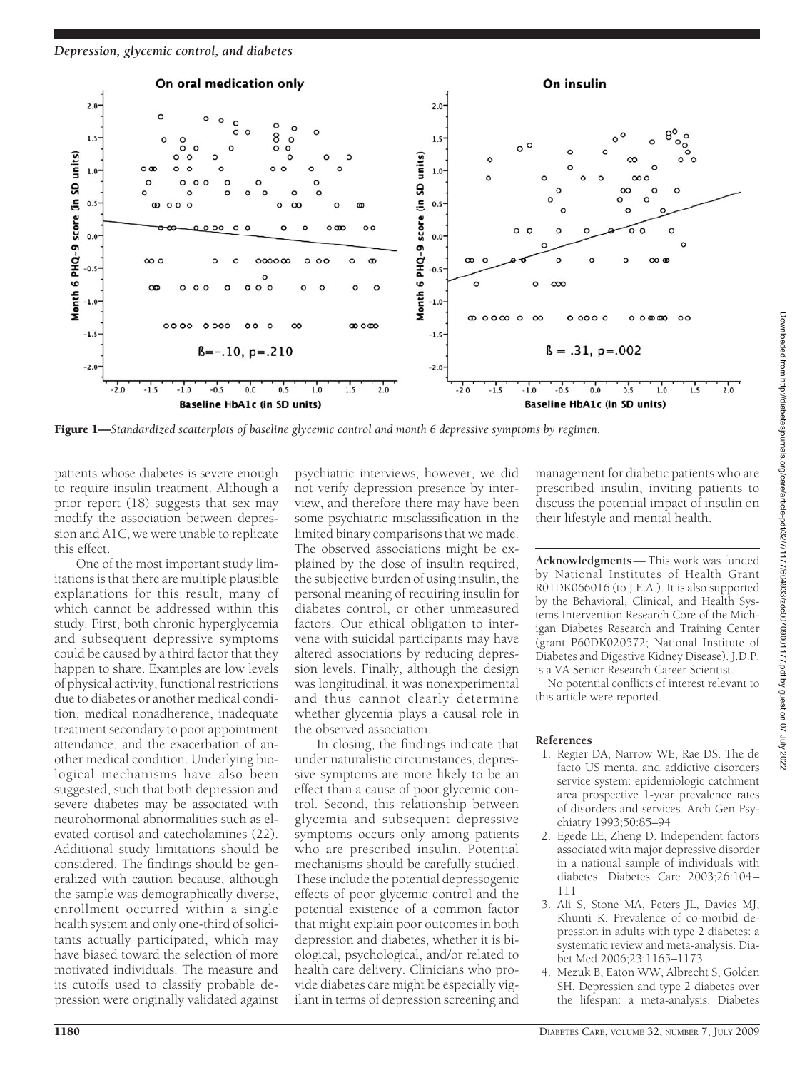

Figure 1—*Standardized scatterplots of baseline glycemic control and month 6 depressive symptoms by regimen.*

patients whose diabetes is severe enough to require insulin treatment. Although a prior report (18) suggests that sex may modify the association between depression and A1C, we were unable to replicate this effect.

One of the most important study limitations is that there are multiple plausible explanations for this result, many of which cannot be addressed within this study. First, both chronic hyperglycemia and subsequent depressive symptoms could be caused by a third factor that they happen to share. Examples are low levels of physical activity, functional restrictions due to diabetes or another medical condition, medical nonadherence, inadequate treatment secondary to poor appointment attendance, and the exacerbation of another medical condition. Underlying biological mechanisms have also been suggested, such that both depression and severe diabetes may be associated with neurohormonal abnormalities such as elevated cortisol and catecholamines (22). Additional study limitations should be considered. The findings should be generalized with caution because, although the sample was demographically diverse, enrollment occurred within a single health system and only one-third of solicitants actually participated, which may have biased toward the selection of more motivated individuals. The measure and its cutoffs used to classify probable depression were originally validated against

psychiatric interviews; however, we did not verify depression presence by interview, and therefore there may have been some psychiatric misclassification in the limited binary comparisons that we made. The observed associations might be explained by the dose of insulin required, the subjective burden of using insulin, the personal meaning of requiring insulin for diabetes control, or other unmeasured factors. Our ethical obligation to intervene with suicidal participants may have altered associations by reducing depression levels. Finally, although the design was longitudinal, it was nonexperimental and thus cannot clearly determine whether glycemia plays a causal role in the observed association.

In closing, the findings indicate that under naturalistic circumstances, depressive symptoms are more likely to be an effect than a cause of poor glycemic control. Second, this relationship between glycemia and subsequent depressive symptoms occurs only among patients who are prescribed insulin. Potential mechanisms should be carefully studied. These include the potential depressogenic effects of poor glycemic control and the potential existence of a common factor that might explain poor outcomes in both depression and diabetes, whether it is biological, psychological, and/or related to health care delivery. Clinicians who provide diabetes care might be especially vigilant in terms of depression screening and

management for diabetic patients who are prescribed insulin, inviting patients to discuss the potential impact of insulin on their lifestyle and mental health.

**Acknowledgments**— This work was funded by National Institutes of Health Grant R01DK066016 (to J.E.A.). It is also supported by the Behavioral, Clinical, and Health Systems Intervention Research Core of the Michigan Diabetes Research and Training Center (grant P60DK020572; National Institute of Diabetes and Digestive Kidney Disease). J.D.P. is a VA Senior Research Career Scientist.

No potential conflicts of interest relevant to this article were reported.

#### **References**

- 1. Regier DA, Narrow WE, Rae DS. The de facto US mental and addictive disorders service system: epidemiologic catchment area prospective 1-year prevalence rates of disorders and services. Arch Gen Psychiatry 1993;50:85–94
- 2. Egede LE, Zheng D. Independent factors associated with major depressive disorder in a national sample of individuals with diabetes. Diabetes Care 2003;26:104– 111
- 3. Ali S, Stone MA, Peters JL, Davies MJ, Khunti K. Prevalence of co-morbid depression in adults with type 2 diabetes: a systematic review and meta-analysis. Diabet Med 2006;23:1165–1173
- 4. Mezuk B, Eaton WW, Albrecht S, Golden SH. Depression and type 2 diabetes over the lifespan: a meta-analysis. Diabetes